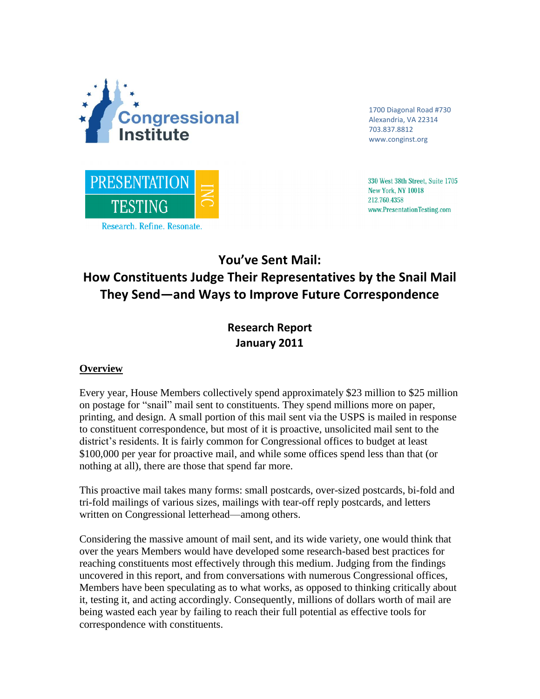

1700 Diagonal Road #730 Alexandria, VA 22314 703.837.8812 www.conginst.org



330 West 38th Street, Suite 1705 **New York, NY 10018** 212.760.4358 www.PresentationTesting.com

**You've Sent Mail:** 

# **How Constituents Judge Their Representatives by the Snail Mail They Send—and Ways to Improve Future Correspondence**

**Research Report January 2011**

# **Overview**

Every year, House Members collectively spend approximately \$23 million to \$25 million on postage for "snail" mail sent to constituents. They spend millions more on paper, printing, and design. A small portion of this mail sent via the USPS is mailed in response to constituent correspondence, but most of it is proactive, unsolicited mail sent to the district's residents. It is fairly common for Congressional offices to budget at least \$100,000 per year for proactive mail, and while some offices spend less than that (or nothing at all), there are those that spend far more.

This proactive mail takes many forms: small postcards, over-sized postcards, bi-fold and tri-fold mailings of various sizes, mailings with tear-off reply postcards, and letters written on Congressional letterhead—among others.

Considering the massive amount of mail sent, and its wide variety, one would think that over the years Members would have developed some research-based best practices for reaching constituents most effectively through this medium. Judging from the findings uncovered in this report, and from conversations with numerous Congressional offices, Members have been speculating as to what works, as opposed to thinking critically about it, testing it, and acting accordingly. Consequently, millions of dollars worth of mail are being wasted each year by failing to reach their full potential as effective tools for correspondence with constituents.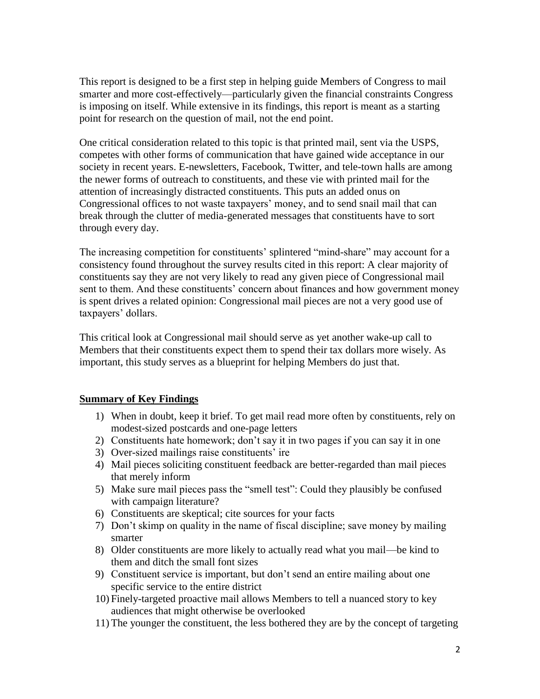This report is designed to be a first step in helping guide Members of Congress to mail smarter and more cost-effectively—particularly given the financial constraints Congress is imposing on itself. While extensive in its findings, this report is meant as a starting point for research on the question of mail, not the end point.

One critical consideration related to this topic is that printed mail, sent via the USPS, competes with other forms of communication that have gained wide acceptance in our society in recent years. E-newsletters, Facebook, Twitter, and tele-town halls are among the newer forms of outreach to constituents, and these vie with printed mail for the attention of increasingly distracted constituents. This puts an added onus on Congressional offices to not waste taxpayers" money, and to send snail mail that can break through the clutter of media-generated messages that constituents have to sort through every day.

The increasing competition for constituents' splintered "mind-share" may account for a consistency found throughout the survey results cited in this report: A clear majority of constituents say they are not very likely to read any given piece of Congressional mail sent to them. And these constituents' concern about finances and how government money is spent drives a related opinion: Congressional mail pieces are not a very good use of taxpayers' dollars.

This critical look at Congressional mail should serve as yet another wake-up call to Members that their constituents expect them to spend their tax dollars more wisely. As important, this study serves as a blueprint for helping Members do just that.

# **Summary of Key Findings**

- 1) When in doubt, keep it brief. To get mail read more often by constituents, rely on modest-sized postcards and one-page letters
- 2) Constituents hate homework; don"t say it in two pages if you can say it in one
- 3) Over-sized mailings raise constituents' ire
- 4) Mail pieces soliciting constituent feedback are better-regarded than mail pieces that merely inform
- 5) Make sure mail pieces pass the "smell test": Could they plausibly be confused with campaign literature?
- 6) Constituents are skeptical; cite sources for your facts
- 7) Don"t skimp on quality in the name of fiscal discipline; save money by mailing smarter
- 8) Older constituents are more likely to actually read what you mail—be kind to them and ditch the small font sizes
- 9) Constituent service is important, but don"t send an entire mailing about one specific service to the entire district
- 10) Finely-targeted proactive mail allows Members to tell a nuanced story to key audiences that might otherwise be overlooked
- 11) The younger the constituent, the less bothered they are by the concept of targeting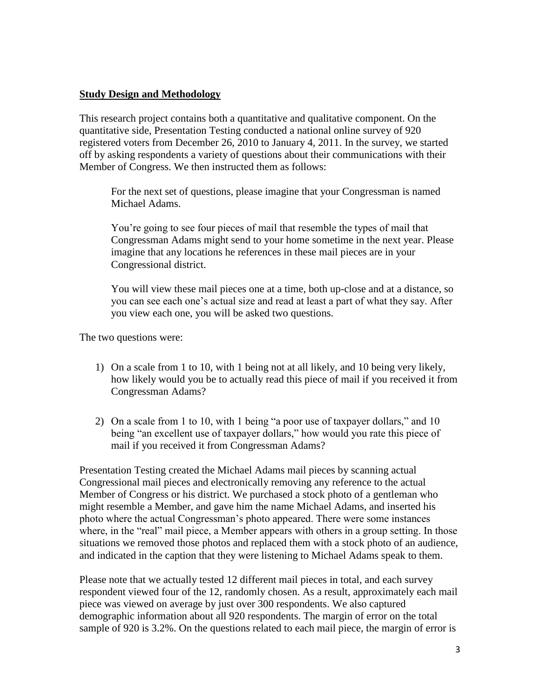## **Study Design and Methodology**

This research project contains both a quantitative and qualitative component. On the quantitative side, Presentation Testing conducted a national online survey of 920 registered voters from December 26, 2010 to January 4, 2011. In the survey, we started off by asking respondents a variety of questions about their communications with their Member of Congress. We then instructed them as follows:

For the next set of questions, please imagine that your Congressman is named Michael Adams.

You"re going to see four pieces of mail that resemble the types of mail that Congressman Adams might send to your home sometime in the next year. Please imagine that any locations he references in these mail pieces are in your Congressional district.

You will view these mail pieces one at a time, both up-close and at a distance, so you can see each one"s actual size and read at least a part of what they say. After you view each one, you will be asked two questions.

The two questions were:

- 1) On a scale from 1 to 10, with 1 being not at all likely, and 10 being very likely, how likely would you be to actually read this piece of mail if you received it from Congressman Adams?
- 2) On a scale from 1 to 10, with 1 being "a poor use of taxpayer dollars," and 10 being "an excellent use of taxpayer dollars," how would you rate this piece of mail if you received it from Congressman Adams?

Presentation Testing created the Michael Adams mail pieces by scanning actual Congressional mail pieces and electronically removing any reference to the actual Member of Congress or his district. We purchased a stock photo of a gentleman who might resemble a Member, and gave him the name Michael Adams, and inserted his photo where the actual Congressman"s photo appeared. There were some instances where, in the "real" mail piece, a Member appears with others in a group setting. In those situations we removed those photos and replaced them with a stock photo of an audience, and indicated in the caption that they were listening to Michael Adams speak to them.

Please note that we actually tested 12 different mail pieces in total, and each survey respondent viewed four of the 12, randomly chosen. As a result, approximately each mail piece was viewed on average by just over 300 respondents. We also captured demographic information about all 920 respondents. The margin of error on the total sample of 920 is 3.2%. On the questions related to each mail piece, the margin of error is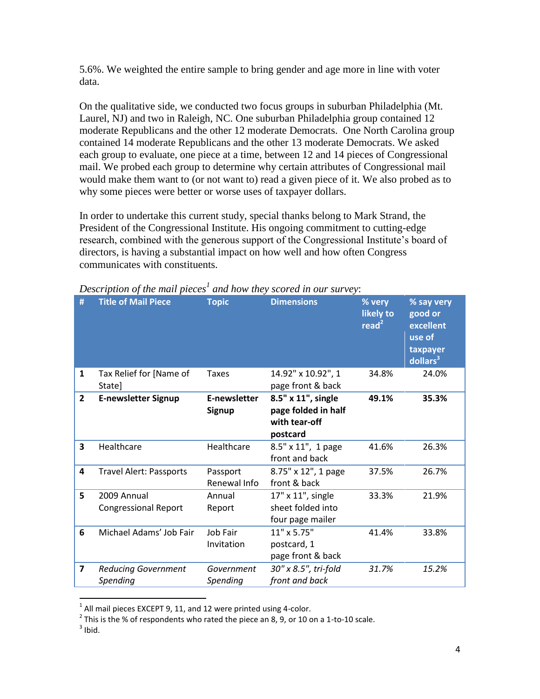5.6%. We weighted the entire sample to bring gender and age more in line with voter data.

On the qualitative side, we conducted two focus groups in suburban Philadelphia (Mt. Laurel, NJ) and two in Raleigh, NC. One suburban Philadelphia group contained 12 moderate Republicans and the other 12 moderate Democrats. One North Carolina group contained 14 moderate Republicans and the other 13 moderate Democrats. We asked each group to evaluate, one piece at a time, between 12 and 14 pieces of Congressional mail. We probed each group to determine why certain attributes of Congressional mail would make them want to (or not want to) read a given piece of it. We also probed as to why some pieces were better or worse uses of taxpayer dollars.

In order to undertake this current study, special thanks belong to Mark Strand, the President of the Congressional Institute. His ongoing commitment to cutting-edge research, combined with the generous support of the Congressional Institute"s board of directors, is having a substantial impact on how well and how often Congress communicates with constituents.

| #              | <b>Title of Mail Piece</b>                 | <b>Topic</b>                  | <b>Dimensions</b>                                                      | % very<br>likely to<br>read <sup>2</sup> | % say very<br>good or<br>excellent<br>use of<br>taxpayer<br>dollars <sup>3</sup> |
|----------------|--------------------------------------------|-------------------------------|------------------------------------------------------------------------|------------------------------------------|----------------------------------------------------------------------------------|
| 1              | Tax Relief for [Name of<br>State]          | <b>Taxes</b>                  | 14.92" x 10.92", 1<br>page front & back                                | 34.8%                                    | 24.0%                                                                            |
| $\overline{2}$ | <b>E-newsletter Signup</b>                 | <b>E-newsletter</b><br>Signup | 8.5" x 11", single<br>page folded in half<br>with tear-off<br>postcard | 49.1%                                    | 35.3%                                                                            |
| 3              | Healthcare                                 | Healthcare                    | 8.5" x 11", 1 page<br>front and back                                   | 41.6%                                    | 26.3%                                                                            |
| 4              | Travel Alert: Passports                    | Passport<br>Renewal Info      | 8.75" x 12", 1 page<br>front & back                                    | 37.5%                                    | 26.7%                                                                            |
| 5              | 2009 Annual<br><b>Congressional Report</b> | Annual<br>Report              | 17" x 11", single<br>sheet folded into<br>four page mailer             | 33.3%                                    | 21.9%                                                                            |
| 6              | Michael Adams' Job Fair                    | Job Fair<br>Invitation        | 11" x 5.75"<br>postcard, 1<br>page front & back                        | 41.4%                                    | 33.8%                                                                            |
| $\overline{7}$ | <b>Reducing Government</b><br>Spending     | Government<br>Spending        | 30" x 8.5", tri-fold<br>front and back                                 | 31.7%                                    | 15.2%                                                                            |

*Description of the mail pieces<sup>1</sup> and how they scored in our survey*:

 1 All mail pieces EXCEPT 9, 11, and 12 were printed using 4-color.

 $^2$  This is the % of respondents who rated the piece an 8, 9, or 10 on a 1-to-10 scale.

 $3$  Ibid.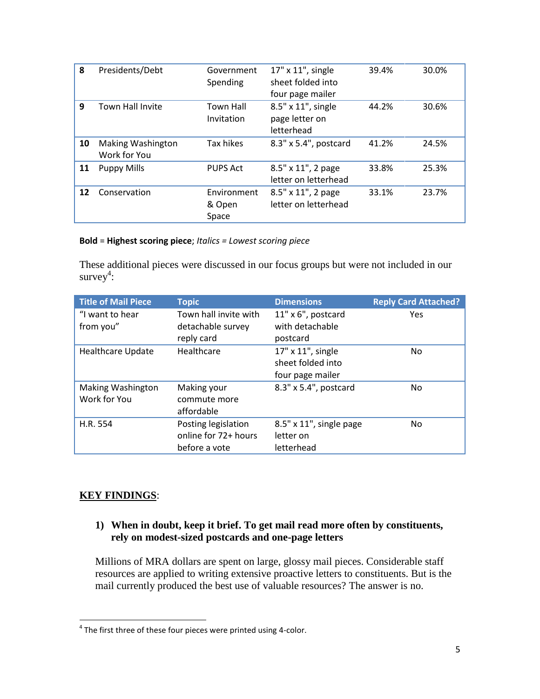| 8               | Presidents/Debt                          | Government<br>Spending         | 17" x 11", single<br>sheet folded into<br>four page mailer | 39.4% | 30.0% |
|-----------------|------------------------------------------|--------------------------------|------------------------------------------------------------|-------|-------|
| 9               | <b>Town Hall Invite</b>                  | <b>Town Hall</b><br>Invitation | 8.5" x 11", single<br>page letter on<br>letterhead         | 44.2% | 30.6% |
| 10              | <b>Making Washington</b><br>Work for You | Tax hikes                      | 8.3" x 5.4", postcard                                      | 41.2% | 24.5% |
| 11              | <b>Puppy Mills</b>                       | <b>PUPS Act</b>                | 8.5" x 11", 2 page<br>letter on letterhead                 | 33.8% | 25.3% |
| 12 <sup>2</sup> | Conservation                             | Environment<br>& Open<br>Space | 8.5" x 11", 2 page<br>letter on letterhead                 | 33.1% | 23.7% |

#### **Bold** = **Highest scoring piece**; *Italics = Lowest scoring piece*

These additional pieces were discussed in our focus groups but were not included in our survey $4$ :

| <b>Title of Mail Piece</b>               | <b>Topic</b>                                                 | <b>Dimensions</b>                                          | <b>Reply Card Attached?</b> |
|------------------------------------------|--------------------------------------------------------------|------------------------------------------------------------|-----------------------------|
| "I want to hear                          | Town hall invite with                                        | 11" x 6", postcard                                         | Yes                         |
| from you"                                | detachable survey<br>reply card                              | with detachable<br>postcard                                |                             |
| <b>Healthcare Update</b>                 | Healthcare                                                   | 17" x 11", single<br>sheet folded into<br>four page mailer | No.                         |
| <b>Making Washington</b><br>Work for You | Making your<br>commute more<br>affordable                    | 8.3" x 5.4", postcard                                      | No.                         |
| H.R. 554                                 | Posting legislation<br>online for 72+ hours<br>before a vote | 8.5" x 11", single page<br>letter on<br>letterhead         | No.                         |

# **KEY FINDINGS**:

## **1) When in doubt, keep it brief. To get mail read more often by constituents, rely on modest-sized postcards and one-page letters**

Millions of MRA dollars are spent on large, glossy mail pieces. Considerable staff resources are applied to writing extensive proactive letters to constituents. But is the mail currently produced the best use of valuable resources? The answer is no.

 4 The first three of these four pieces were printed using 4-color.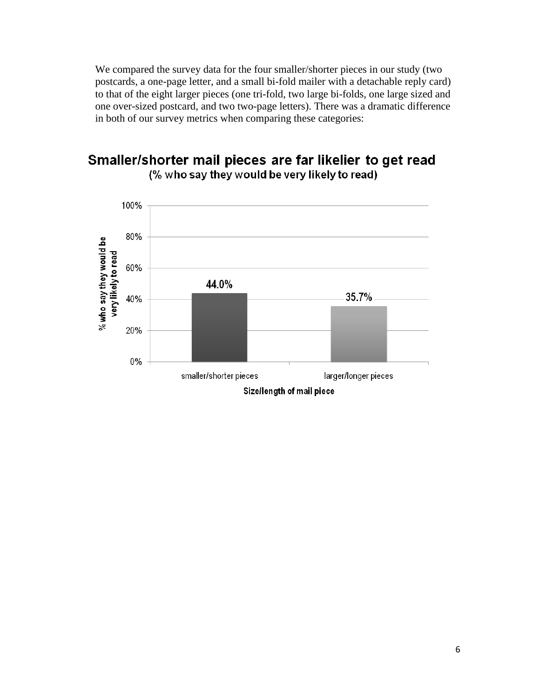We compared the survey data for the four smaller/shorter pieces in our study (two postcards, a one-page letter, and a small bi-fold mailer with a detachable reply card) to that of the eight larger pieces (one tri-fold, two large bi-folds, one large sized and one over-sized postcard, and two two-page letters). There was a dramatic difference in both of our survey metrics when comparing these categories:

# Smaller/shorter mail pieces are far likelier to get read (% who say they would be very likely to read)

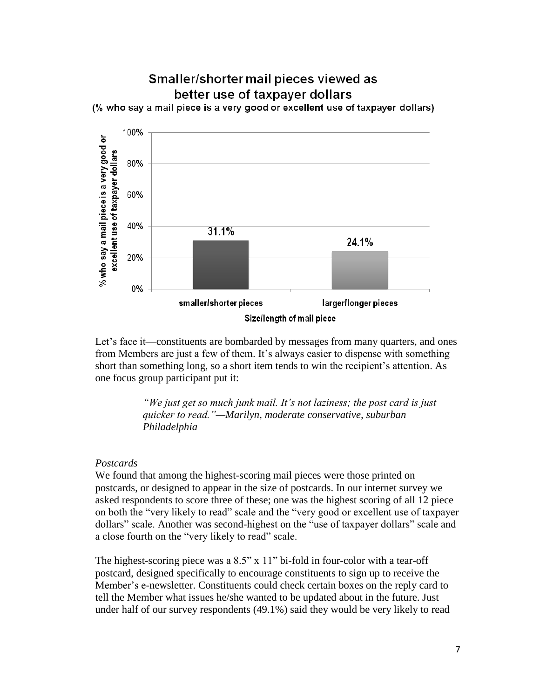

Let's face it—constituents are bombarded by messages from many quarters, and ones from Members are just a few of them. It's always easier to dispense with something short than something long, so a short item tends to win the recipient"s attention. As one focus group participant put it:

> *"We just get so much junk mail. It"s not laziness; the post card is just quicker to read."—Marilyn, moderate conservative, suburban Philadelphia*

#### *Postcards*

We found that among the highest-scoring mail pieces were those printed on postcards, or designed to appear in the size of postcards. In our internet survey we asked respondents to score three of these; one was the highest scoring of all 12 piece on both the "very likely to read" scale and the "very good or excellent use of taxpayer dollars" scale. Another was second-highest on the "use of taxpayer dollars" scale and a close fourth on the "very likely to read" scale.

The highest-scoring piece was a  $8.5$ " x  $11$ " bi-fold in four-color with a tear-off postcard, designed specifically to encourage constituents to sign up to receive the Member"s e-newsletter. Constituents could check certain boxes on the reply card to tell the Member what issues he/she wanted to be updated about in the future. Just under half of our survey respondents (49.1%) said they would be very likely to read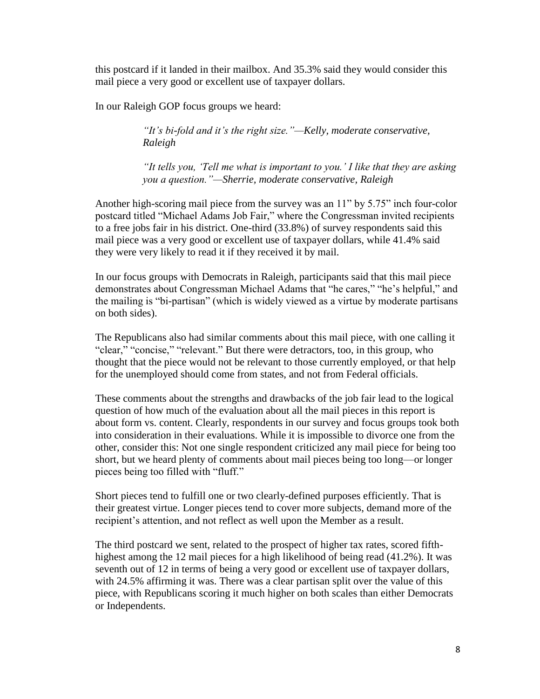this postcard if it landed in their mailbox. And 35.3% said they would consider this mail piece a very good or excellent use of taxpayer dollars.

In our Raleigh GOP focus groups we heard:

*"It"s bi-fold and it"s the right size."—Kelly, moderate conservative, Raleigh*

*"It tells you, "Tell me what is important to you." I like that they are asking you a question."—Sherrie, moderate conservative, Raleigh*

Another high-scoring mail piece from the survey was an 11" by 5.75" inch four-color postcard titled "Michael Adams Job Fair," where the Congressman invited recipients to a free jobs fair in his district. One-third (33.8%) of survey respondents said this mail piece was a very good or excellent use of taxpayer dollars, while 41.4% said they were very likely to read it if they received it by mail.

In our focus groups with Democrats in Raleigh, participants said that this mail piece demonstrates about Congressman Michael Adams that "he cares," "he"s helpful," and the mailing is "bi-partisan" (which is widely viewed as a virtue by moderate partisans on both sides).

The Republicans also had similar comments about this mail piece, with one calling it "clear," "concise," "relevant." But there were detractors, too, in this group, who thought that the piece would not be relevant to those currently employed, or that help for the unemployed should come from states, and not from Federal officials.

These comments about the strengths and drawbacks of the job fair lead to the logical question of how much of the evaluation about all the mail pieces in this report is about form vs. content. Clearly, respondents in our survey and focus groups took both into consideration in their evaluations. While it is impossible to divorce one from the other, consider this: Not one single respondent criticized any mail piece for being too short, but we heard plenty of comments about mail pieces being too long—or longer pieces being too filled with "fluff."

Short pieces tend to fulfill one or two clearly-defined purposes efficiently. That is their greatest virtue. Longer pieces tend to cover more subjects, demand more of the recipient's attention, and not reflect as well upon the Member as a result.

The third postcard we sent, related to the prospect of higher tax rates, scored fifthhighest among the 12 mail pieces for a high likelihood of being read (41.2%). It was seventh out of 12 in terms of being a very good or excellent use of taxpayer dollars, with 24.5% affirming it was. There was a clear partisan split over the value of this piece, with Republicans scoring it much higher on both scales than either Democrats or Independents.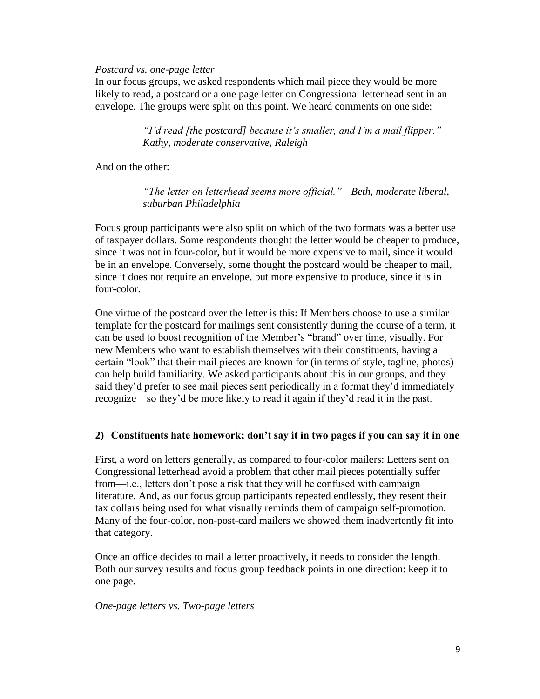#### *Postcard vs. one-page letter*

In our focus groups, we asked respondents which mail piece they would be more likely to read, a postcard or a one page letter on Congressional letterhead sent in an envelope. The groups were split on this point. We heard comments on one side:

> *"I"d read [the postcard] because it"s smaller, and I"m a mail flipper."— Kathy, moderate conservative, Raleigh*

And on the other:

*"The letter on letterhead seems more official."—Beth, moderate liberal, suburban Philadelphia*

Focus group participants were also split on which of the two formats was a better use of taxpayer dollars. Some respondents thought the letter would be cheaper to produce, since it was not in four-color, but it would be more expensive to mail, since it would be in an envelope. Conversely, some thought the postcard would be cheaper to mail, since it does not require an envelope, but more expensive to produce, since it is in four-color.

One virtue of the postcard over the letter is this: If Members choose to use a similar template for the postcard for mailings sent consistently during the course of a term, it can be used to boost recognition of the Member"s "brand" over time, visually. For new Members who want to establish themselves with their constituents, having a certain "look" that their mail pieces are known for (in terms of style, tagline, photos) can help build familiarity. We asked participants about this in our groups, and they said they"d prefer to see mail pieces sent periodically in a format they"d immediately recognize—so they"d be more likely to read it again if they"d read it in the past.

#### **2) Constituents hate homework; don't say it in two pages if you can say it in one**

First, a word on letters generally, as compared to four-color mailers: Letters sent on Congressional letterhead avoid a problem that other mail pieces potentially suffer from—i.e., letters don't pose a risk that they will be confused with campaign literature. And, as our focus group participants repeated endlessly, they resent their tax dollars being used for what visually reminds them of campaign self-promotion. Many of the four-color, non-post-card mailers we showed them inadvertently fit into that category.

Once an office decides to mail a letter proactively, it needs to consider the length. Both our survey results and focus group feedback points in one direction: keep it to one page.

#### *One-page letters vs. Two-page letters*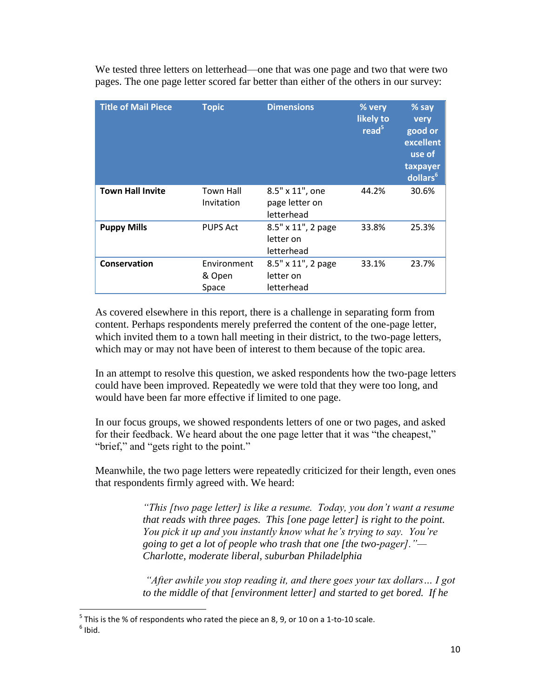We tested three letters on letterhead—one that was one page and two that were two pages. The one page letter scored far better than either of the others in our survey:

| <b>Title of Mail Piece</b> | <b>Topic</b>                   | <b>Dimensions</b>                               | % very<br>likely to<br>read <sup>5</sup> | % say<br>very<br>good or<br>excellent<br>use of<br>taxpayer<br>dollars <sup>6</sup> |
|----------------------------|--------------------------------|-------------------------------------------------|------------------------------------------|-------------------------------------------------------------------------------------|
| <b>Town Hall Invite</b>    | <b>Town Hall</b><br>Invitation | 8.5" x 11", one<br>page letter on<br>letterhead | 44.2%                                    | 30.6%                                                                               |
| <b>Puppy Mills</b>         | <b>PUPS Act</b>                | 8.5" x 11", 2 page<br>letter on<br>letterhead   | 33.8%                                    | 25.3%                                                                               |
| Conservation               | Environment<br>& Open<br>Space | 8.5" x 11", 2 page<br>letter on<br>letterhead   | 33.1%                                    | 23.7%                                                                               |

As covered elsewhere in this report, there is a challenge in separating form from content. Perhaps respondents merely preferred the content of the one-page letter, which invited them to a town hall meeting in their district, to the two-page letters, which may or may not have been of interest to them because of the topic area.

In an attempt to resolve this question, we asked respondents how the two-page letters could have been improved. Repeatedly we were told that they were too long, and would have been far more effective if limited to one page.

In our focus groups, we showed respondents letters of one or two pages, and asked for their feedback. We heard about the one page letter that it was "the cheapest," "brief," and "gets right to the point."

Meanwhile, the two page letters were repeatedly criticized for their length, even ones that respondents firmly agreed with. We heard:

> *"This [two page letter] is like a resume. Today, you don"t want a resume that reads with three pages. This [one page letter] is right to the point. You pick it up and you instantly know what he"s trying to say. You"re going to get a lot of people who trash that one [the two-pager]."— Charlotte, moderate liberal, suburban Philadelphia*

> *"After awhile you stop reading it, and there goes your tax dollars… I got to the middle of that [environment letter] and started to get bored. If he*

l  $^5$  This is the % of respondents who rated the piece an 8, 9, or 10 on a 1-to-10 scale.

 $<sup>6</sup>$  Ibid.</sup>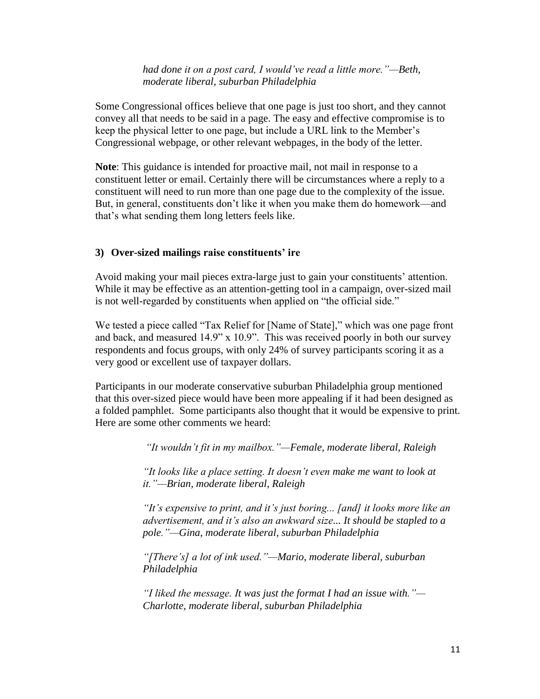#### *had done it on a post card, I would"ve read a little more."—Beth, moderate liberal, suburban Philadelphia*

Some Congressional offices believe that one page is just too short, and they cannot convey all that needs to be said in a page. The easy and effective compromise is to keep the physical letter to one page, but include a URL link to the Member"s Congressional webpage, or other relevant webpages, in the body of the letter.

**Note**: This guidance is intended for proactive mail, not mail in response to a constituent letter or email. Certainly there will be circumstances where a reply to a constituent will need to run more than one page due to the complexity of the issue. But, in general, constituents don"t like it when you make them do homework—and that"s what sending them long letters feels like.

## **3) Over-sized mailings raise constituents' ire**

Avoid making your mail pieces extra-large just to gain your constituents' attention. While it may be effective as an attention-getting tool in a campaign, over-sized mail is not well-regarded by constituents when applied on "the official side."

We tested a piece called "Tax Relief for [Name of State]," which was one page front and back, and measured 14.9" x 10.9". This was received poorly in both our survey respondents and focus groups, with only 24% of survey participants scoring it as a very good or excellent use of taxpayer dollars.

Participants in our moderate conservative suburban Philadelphia group mentioned that this over-sized piece would have been more appealing if it had been designed as a folded pamphlet. Some participants also thought that it would be expensive to print. Here are some other comments we heard:

*"It wouldn"t fit in my mailbox."—Female, moderate liberal, Raleigh*

*"It looks like a place setting. It doesn"t even make me want to look at it."—Brian, moderate liberal, Raleigh*

*"It"s expensive to print, and it"s just boring... [and] it looks more like an advertisement, and it"s also an awkward size... It should be stapled to a pole."—Gina, moderate liberal, suburban Philadelphia*

*"[There"s] a lot of ink used."—Mario, moderate liberal, suburban Philadelphia*

*"I liked the message. It was just the format I had an issue with."— Charlotte, moderate liberal, suburban Philadelphia*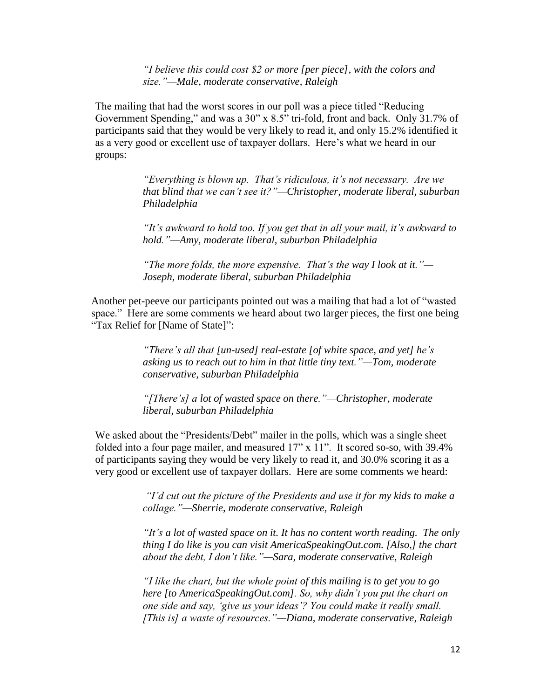*"I believe this could cost \$2 or more [per piece], with the colors and size."—Male, moderate conservative, Raleigh*

The mailing that had the worst scores in our poll was a piece titled "Reducing Government Spending," and was a 30" x 8.5" tri-fold, front and back. Only 31.7% of participants said that they would be very likely to read it, and only 15.2% identified it as a very good or excellent use of taxpayer dollars. Here's what we heard in our groups:

> *"Everything is blown up. That"s ridiculous, it"s not necessary. Are we that blind that we can"t see it?"—Christopher, moderate liberal, suburban Philadelphia*

*"It"s awkward to hold too. If you get that in all your mail, it"s awkward to hold."—Amy, moderate liberal, suburban Philadelphia*

*"The more folds, the more expensive. That"s the way I look at it."— Joseph, moderate liberal, suburban Philadelphia*

Another pet-peeve our participants pointed out was a mailing that had a lot of "wasted space." Here are some comments we heard about two larger pieces, the first one being "Tax Relief for [Name of State]":

> *"There"s all that [un-used] real-estate [of white space, and yet] he"s asking us to reach out to him in that little tiny text."—Tom, moderate conservative, suburban Philadelphia*

*"[There"s] a lot of wasted space on there."—Christopher, moderate liberal, suburban Philadelphia*

We asked about the "Presidents/Debt" mailer in the polls, which was a single sheet folded into a four page mailer, and measured 17" x 11". It scored so-so, with 39.4% of participants saying they would be very likely to read it, and 30.0% scoring it as a very good or excellent use of taxpayer dollars. Here are some comments we heard:

> *"I"d cut out the picture of the Presidents and use it for my kids to make a collage."—Sherrie, moderate conservative, Raleigh*

*"It"s a lot of wasted space on it. It has no content worth reading. The only thing I do like is you can visit AmericaSpeakingOut.com. [Also,] the chart about the debt, I don"t like."—Sara, moderate conservative, Raleigh*

*"I like the chart, but the whole point of this mailing is to get you to go here [to AmericaSpeakingOut.com]. So, why didn"t you put the chart on one side and say, "give us your ideas"? You could make it really small. [This is] a waste of resources."—Diana, moderate conservative, Raleigh*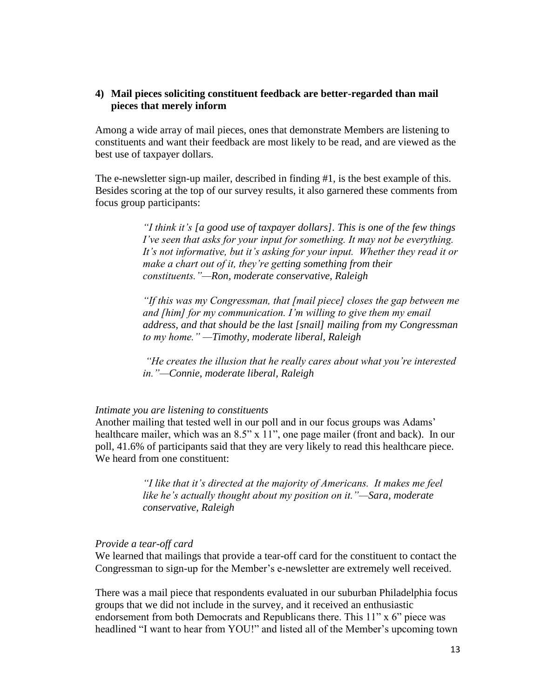#### **4) Mail pieces soliciting constituent feedback are better-regarded than mail pieces that merely inform**

Among a wide array of mail pieces, ones that demonstrate Members are listening to constituents and want their feedback are most likely to be read, and are viewed as the best use of taxpayer dollars.

The e-newsletter sign-up mailer, described in finding #1, is the best example of this. Besides scoring at the top of our survey results, it also garnered these comments from focus group participants:

> *"I think it"s [a good use of taxpayer dollars]. This is one of the few things I've seen that asks for your input for something. It may not be everything.* It's not informative, but it's asking for your input. Whether they read it or *make a chart out of it, they"re getting something from their constituents."—Ron, moderate conservative, Raleigh*

> *"If this was my Congressman, that [mail piece] closes the gap between me and [him] for my communication. I"m willing to give them my email address, and that should be the last [snail] mailing from my Congressman to my home." —Timothy, moderate liberal, Raleigh*

> *"He creates the illusion that he really cares about what you"re interested in."—Connie, moderate liberal, Raleigh*

#### *Intimate you are listening to constituents*

Another mailing that tested well in our poll and in our focus groups was Adams" healthcare mailer, which was an 8.5" x 11", one page mailer (front and back). In our poll, 41.6% of participants said that they are very likely to read this healthcare piece. We heard from one constituent:

> *"I like that it"s directed at the majority of Americans. It makes me feel like he"s actually thought about my position on it."—Sara, moderate conservative, Raleigh*

#### *Provide a tear-off card*

We learned that mailings that provide a tear-off card for the constituent to contact the Congressman to sign-up for the Member's e-newsletter are extremely well received.

There was a mail piece that respondents evaluated in our suburban Philadelphia focus groups that we did not include in the survey, and it received an enthusiastic endorsement from both Democrats and Republicans there. This 11" x 6" piece was headlined "I want to hear from YOU!" and listed all of the Member's upcoming town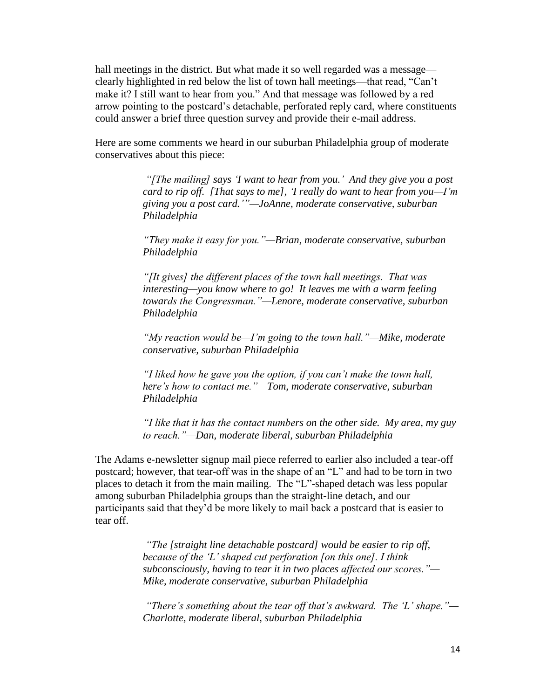hall meetings in the district. But what made it so well regarded was a message clearly highlighted in red below the list of town hall meetings—that read, "Can"t make it? I still want to hear from you." And that message was followed by a red arrow pointing to the postcard"s detachable, perforated reply card, where constituents could answer a brief three question survey and provide their e-mail address.

Here are some comments we heard in our suburban Philadelphia group of moderate conservatives about this piece:

> *"[The mailing] says "I want to hear from you." And they give you a post card to rip off. [That says to me], "I really do want to hear from you—I"m giving you a post card.""—JoAnne, moderate conservative, suburban Philadelphia*

*"They make it easy for you."—Brian, moderate conservative, suburban Philadelphia*

*"[It gives] the different places of the town hall meetings. That was interesting—you know where to go! It leaves me with a warm feeling towards the Congressman."—Lenore, moderate conservative, suburban Philadelphia*

*"My reaction would be—I"m going to the town hall."—Mike, moderate conservative, suburban Philadelphia*

*"I liked how he gave you the option, if you can"t make the town hall, here"s how to contact me."—Tom, moderate conservative, suburban Philadelphia*

*"I like that it has the contact numbers on the other side. My area, my guy to reach."—Dan, moderate liberal, suburban Philadelphia* 

The Adams e-newsletter signup mail piece referred to earlier also included a tear-off postcard; however, that tear-off was in the shape of an "L" and had to be torn in two places to detach it from the main mailing. The "L"-shaped detach was less popular among suburban Philadelphia groups than the straight-line detach, and our participants said that they"d be more likely to mail back a postcard that is easier to tear off.

> *"The [straight line detachable postcard] would be easier to rip off, because of the "L" shaped cut perforation [on this one]. I think subconsciously, having to tear it in two places affected our scores."— Mike, moderate conservative, suburban Philadelphia*

*"There"s something about the tear off that"s awkward. The "L" shape."— Charlotte, moderate liberal, suburban Philadelphia*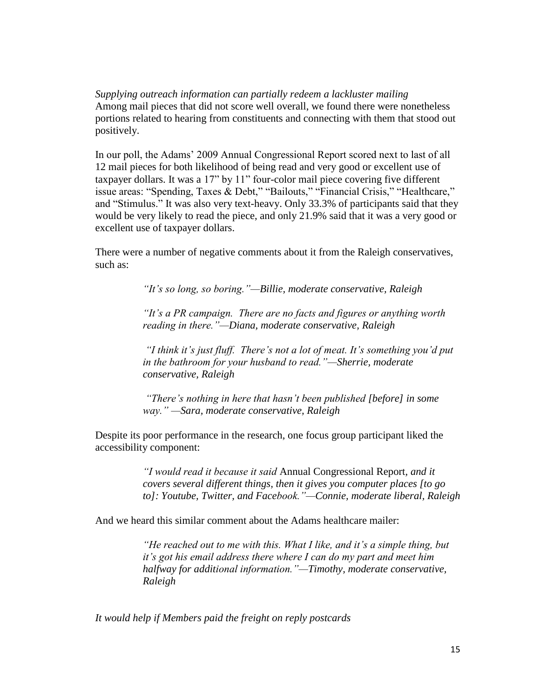*Supplying outreach information can partially redeem a lackluster mailing* Among mail pieces that did not score well overall, we found there were nonetheless portions related to hearing from constituents and connecting with them that stood out positively.

In our poll, the Adams' 2009 Annual Congressional Report scored next to last of all 12 mail pieces for both likelihood of being read and very good or excellent use of taxpayer dollars. It was a 17" by 11" four-color mail piece covering five different issue areas: "Spending, Taxes & Debt," "Bailouts," "Financial Crisis," "Healthcare," and "Stimulus." It was also very text-heavy. Only 33.3% of participants said that they would be very likely to read the piece, and only 21.9% said that it was a very good or excellent use of taxpayer dollars.

There were a number of negative comments about it from the Raleigh conservatives, such as:

*"It"s so long, so boring."—Billie, moderate conservative, Raleigh*

*"It"s a PR campaign. There are no facts and figures or anything worth reading in there."—Diana, moderate conservative, Raleigh*

*"I think it"s just fluff. There"s not a lot of meat. It"s something you"d put in the bathroom for your husband to read."—Sherrie, moderate conservative, Raleigh*

*"There"s nothing in here that hasn"t been published [before] in some way." —Sara, moderate conservative, Raleigh*

Despite its poor performance in the research, one focus group participant liked the accessibility component:

> *"I would read it because it said* Annual Congressional Report*, and it covers several different things, then it gives you computer places [to go to]: Youtube, Twitter, and Facebook."—Connie, moderate liberal, Raleigh*

And we heard this similar comment about the Adams healthcare mailer:

*"He reached out to me with this. What I like, and it"s a simple thing, but it"s got his email address there where I can do my part and meet him halfway for additional information."—Timothy, moderate conservative, Raleigh*

*It would help if Members paid the freight on reply postcards*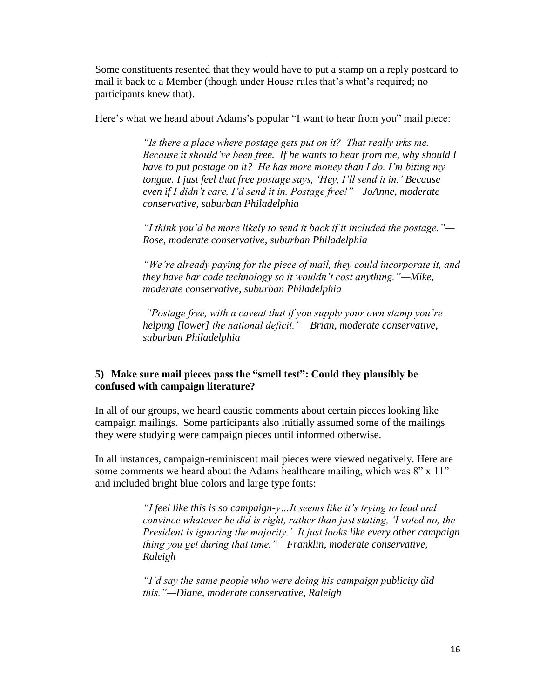Some constituents resented that they would have to put a stamp on a reply postcard to mail it back to a Member (though under House rules that"s what"s required; no participants knew that).

Here's what we heard about Adams's popular "I want to hear from you" mail piece:

*"Is there a place where postage gets put on it? That really irks me. Because it should"ve been free. If he wants to hear from me, why should I have to put postage on it? He has more money than I do. I"m biting my tongue. I just feel that free postage says, "Hey, I"ll send it in." Because even if I didn"t care, I"d send it in. Postage free!"—JoAnne, moderate conservative, suburban Philadelphia*

*"I think you"d be more likely to send it back if it included the postage."— Rose, moderate conservative, suburban Philadelphia*

*"We"re already paying for the piece of mail, they could incorporate it, and they have bar code technology so it wouldn"t cost anything."—Mike, moderate conservative, suburban Philadelphia*

*"Postage free, with a caveat that if you supply your own stamp you"re helping [lower] the national deficit."—Brian, moderate conservative, suburban Philadelphia*

# **5) Make sure mail pieces pass the "smell test": Could they plausibly be confused with campaign literature?**

In all of our groups, we heard caustic comments about certain pieces looking like campaign mailings. Some participants also initially assumed some of the mailings they were studying were campaign pieces until informed otherwise.

In all instances, campaign-reminiscent mail pieces were viewed negatively. Here are some comments we heard about the Adams healthcare mailing, which was 8" x 11" and included bright blue colors and large type fonts:

> *"I feel like this is so campaign-y…It seems like it"s trying to lead and convince whatever he did is right, rather than just stating, "I voted no, the President is ignoring the majority." It just looks like every other campaign thing you get during that time."—Franklin, moderate conservative, Raleigh*

*"I"d say the same people who were doing his campaign publicity did this."—Diane, moderate conservative, Raleigh*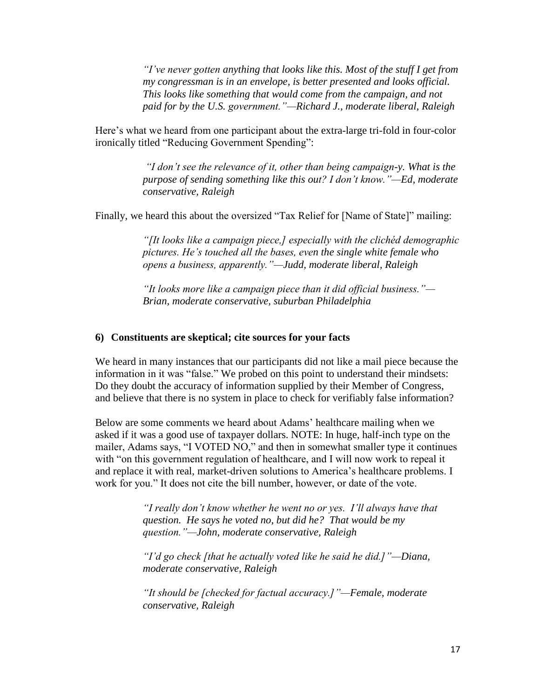*"I"ve never gotten anything that looks like this. Most of the stuff I get from my congressman is in an envelope, is better presented and looks official. This looks like something that would come from the campaign, and not paid for by the U.S. government."—Richard J., moderate liberal, Raleigh*

Here's what we heard from one participant about the extra-large tri-fold in four-color ironically titled "Reducing Government Spending":

> *"I don"t see the relevance of it, other than being campaign-y. What is the purpose of sending something like this out? I don"t know."—Ed, moderate conservative, Raleigh*

Finally, we heard this about the oversized "Tax Relief for [Name of State]" mailing:

*"[It looks like a campaign piece,] especially with the clichéd demographic pictures. He"s touched all the bases, even the single white female who opens a business, apparently."—Judd, moderate liberal, Raleigh*

*"It looks more like a campaign piece than it did official business."— Brian, moderate conservative, suburban Philadelphia*

#### **6) Constituents are skeptical; cite sources for your facts**

We heard in many instances that our participants did not like a mail piece because the information in it was "false." We probed on this point to understand their mindsets: Do they doubt the accuracy of information supplied by their Member of Congress, and believe that there is no system in place to check for verifiably false information?

Below are some comments we heard about Adams' healthcare mailing when we asked if it was a good use of taxpayer dollars. NOTE: In huge, half-inch type on the mailer, Adams says, "I VOTED NO," and then in somewhat smaller type it continues with "on this government regulation of healthcare, and I will now work to repeal it and replace it with real, market-driven solutions to America"s healthcare problems. I work for you." It does not cite the bill number, however, or date of the vote.

> *"I really don"t know whether he went no or yes. I"ll always have that question. He says he voted no, but did he? That would be my question."—John, moderate conservative, Raleigh*

*"I"d go check [that he actually voted like he said he did.]"—Diana, moderate conservative, Raleigh*

*"It should be [checked for factual accuracy.]"—Female, moderate conservative, Raleigh*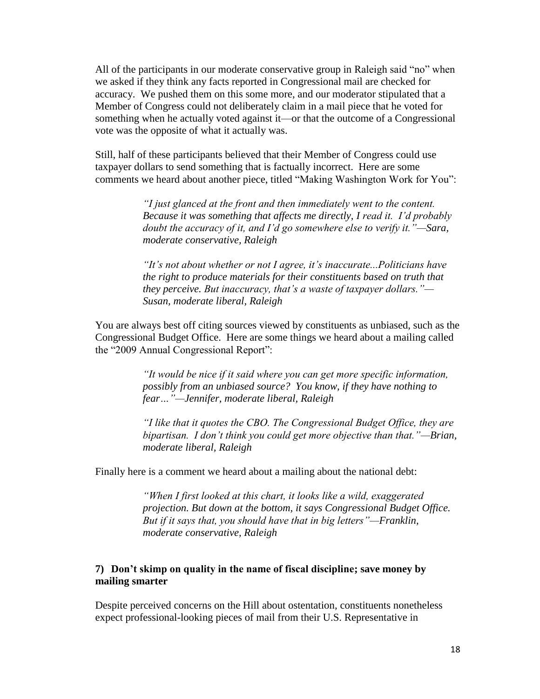All of the participants in our moderate conservative group in Raleigh said "no" when we asked if they think any facts reported in Congressional mail are checked for accuracy. We pushed them on this some more, and our moderator stipulated that a Member of Congress could not deliberately claim in a mail piece that he voted for something when he actually voted against it—or that the outcome of a Congressional vote was the opposite of what it actually was.

Still, half of these participants believed that their Member of Congress could use taxpayer dollars to send something that is factually incorrect. Here are some comments we heard about another piece, titled "Making Washington Work for You":

> *"I just glanced at the front and then immediately went to the content. Because it was something that affects me directly, I read it. I"d probably doubt the accuracy of it, and I"d go somewhere else to verify it."—Sara, moderate conservative, Raleigh*

*"It"s not about whether or not I agree, it"s inaccurate...Politicians have the right to produce materials for their constituents based on truth that they perceive. But inaccuracy, that"s a waste of taxpayer dollars."— Susan, moderate liberal, Raleigh*

You are always best off citing sources viewed by constituents as unbiased, such as the Congressional Budget Office. Here are some things we heard about a mailing called the "2009 Annual Congressional Report":

> *"It would be nice if it said where you can get more specific information, possibly from an unbiased source? You know, if they have nothing to fear…"—Jennifer, moderate liberal, Raleigh*

*"I like that it quotes the CBO. The Congressional Budget Office, they are bipartisan. I don"t think you could get more objective than that."—Brian, moderate liberal, Raleigh*

Finally here is a comment we heard about a mailing about the national debt:

*"When I first looked at this chart, it looks like a wild, exaggerated projection. But down at the bottom, it says Congressional Budget Office. But if it says that, you should have that in big letters"—Franklin, moderate conservative, Raleigh*

#### **7) Don't skimp on quality in the name of fiscal discipline; save money by mailing smarter**

Despite perceived concerns on the Hill about ostentation, constituents nonetheless expect professional-looking pieces of mail from their U.S. Representative in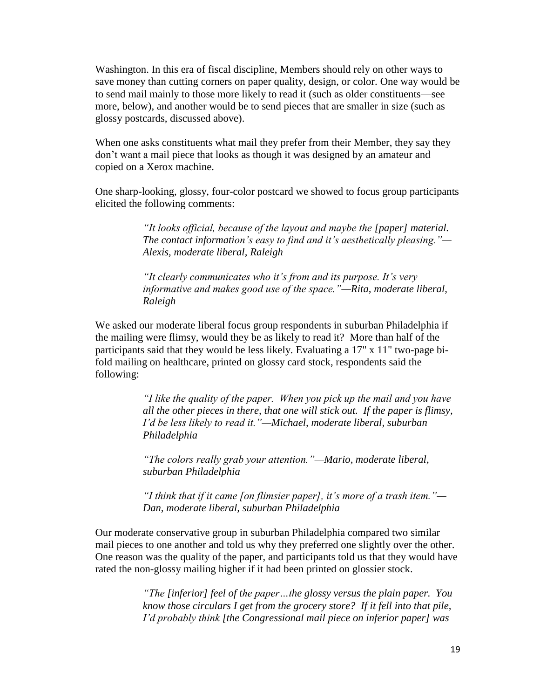Washington. In this era of fiscal discipline, Members should rely on other ways to save money than cutting corners on paper quality, design, or color. One way would be to send mail mainly to those more likely to read it (such as older constituents—see more, below), and another would be to send pieces that are smaller in size (such as glossy postcards, discussed above).

When one asks constituents what mail they prefer from their Member, they say they don"t want a mail piece that looks as though it was designed by an amateur and copied on a Xerox machine.

One sharp-looking, glossy, four-color postcard we showed to focus group participants elicited the following comments:

> *"It looks official, because of the layout and maybe the [paper] material. The contact information's easy to find and it's aesthetically pleasing."— Alexis, moderate liberal, Raleigh*

*"It clearly communicates who it"s from and its purpose. It"s very informative and makes good use of the space."—Rita, moderate liberal, Raleigh*

We asked our moderate liberal focus group respondents in suburban Philadelphia if the mailing were flimsy, would they be as likely to read it? More than half of the participants said that they would be less likely. Evaluating a 17" x 11" two-page bifold mailing on healthcare, printed on glossy card stock, respondents said the following:

> *"I like the quality of the paper. When you pick up the mail and you have all the other pieces in there, that one will stick out. If the paper is flimsy, I"d be less likely to read it."—Michael, moderate liberal, suburban Philadelphia*

*"The colors really grab your attention."—Mario, moderate liberal, suburban Philadelphia*

*"I think that if it came [on flimsier paper], it"s more of a trash item."— Dan, moderate liberal, suburban Philadelphia*

Our moderate conservative group in suburban Philadelphia compared two similar mail pieces to one another and told us why they preferred one slightly over the other. One reason was the quality of the paper, and participants told us that they would have rated the non-glossy mailing higher if it had been printed on glossier stock.

> *"The [inferior] feel of the paper…the glossy versus the plain paper. You know those circulars I get from the grocery store? If it fell into that pile, I"d probably think [the Congressional mail piece on inferior paper] was*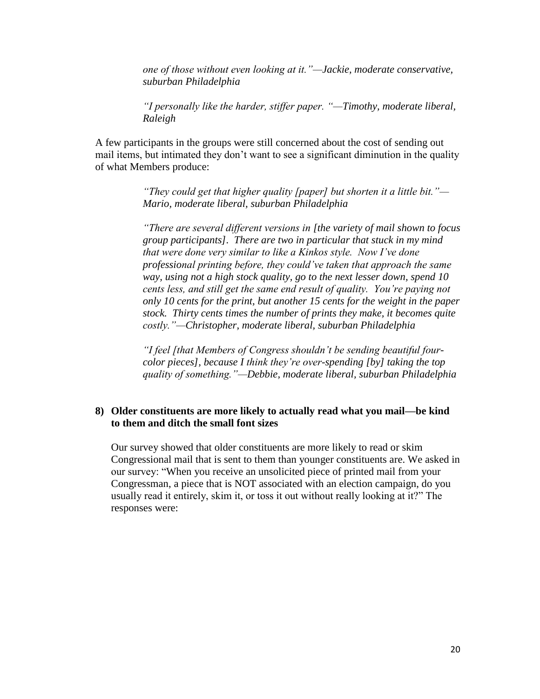*one of those without even looking at it."—Jackie, moderate conservative, suburban Philadelphia*

*"I personally like the harder, stiffer paper. "—Timothy, moderate liberal, Raleigh*

A few participants in the groups were still concerned about the cost of sending out mail items, but intimated they don"t want to see a significant diminution in the quality of what Members produce:

> *"They could get that higher quality [paper] but shorten it a little bit."— Mario, moderate liberal, suburban Philadelphia*

*"There are several different versions in [the variety of mail shown to focus group participants]. There are two in particular that stuck in my mind that were done very similar to like a Kinkos style. Now I"ve done professional printing before, they could"ve taken that approach the same way, using not a high stock quality, go to the next lesser down, spend 10 cents less, and still get the same end result of quality. You"re paying not only 10 cents for the print, but another 15 cents for the weight in the paper stock. Thirty cents times the number of prints they make, it becomes quite costly."—Christopher, moderate liberal, suburban Philadelphia*

*"I feel [that Members of Congress shouldn"t be sending beautiful fourcolor pieces], because I think they"re over-spending [by] taking the top quality of something."—Debbie, moderate liberal, suburban Philadelphia*

#### **8) Older constituents are more likely to actually read what you mail—be kind to them and ditch the small font sizes**

Our survey showed that older constituents are more likely to read or skim Congressional mail that is sent to them than younger constituents are. We asked in our survey: "When you receive an unsolicited piece of printed mail from your Congressman, a piece that is NOT associated with an election campaign, do you usually read it entirely, skim it, or toss it out without really looking at it?" The responses were: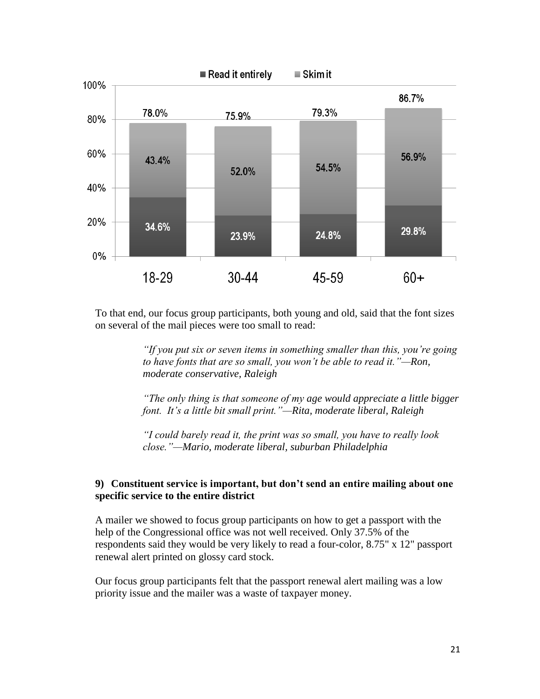

To that end, our focus group participants, both young and old, said that the font sizes on several of the mail pieces were too small to read:

> *"If you put six or seven items in something smaller than this, you"re going to have fonts that are so small, you won"t be able to read it."—Ron, moderate conservative, Raleigh*

> *"The only thing is that someone of my age would appreciate a little bigger font. It"s a little bit small print."—Rita, moderate liberal, Raleigh*

*"I could barely read it, the print was so small, you have to really look close."—Mario, moderate liberal, suburban Philadelphia* 

## **9) Constituent service is important, but don't send an entire mailing about one specific service to the entire district**

A mailer we showed to focus group participants on how to get a passport with the help of the Congressional office was not well received. Only 37.5% of the respondents said they would be very likely to read a four-color, 8.75" x 12" passport renewal alert printed on glossy card stock.

Our focus group participants felt that the passport renewal alert mailing was a low priority issue and the mailer was a waste of taxpayer money.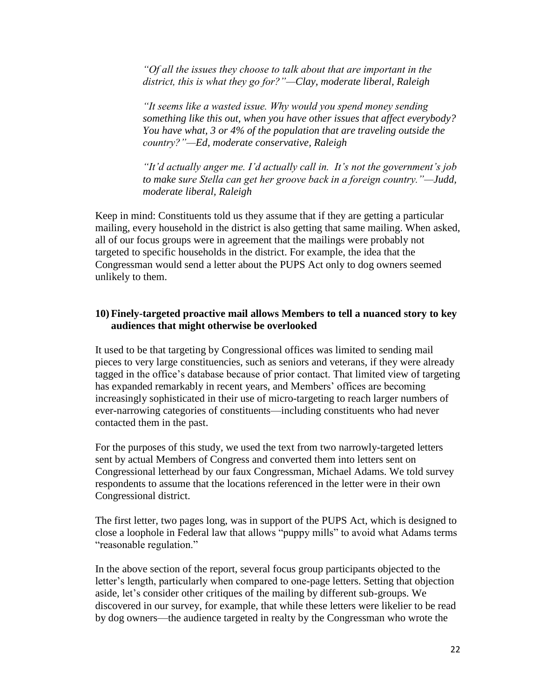*"Of all the issues they choose to talk about that are important in the district, this is what they go for?"—Clay, moderate liberal, Raleigh*

*"It seems like a wasted issue. Why would you spend money sending something like this out, when you have other issues that affect everybody? You have what, 3 or 4% of the population that are traveling outside the country?"—Ed, moderate conservative, Raleigh* 

*"It"d actually anger me. I"d actually call in. It"s not the government"s job to make sure Stella can get her groove back in a foreign country."—Judd, moderate liberal, Raleigh*

Keep in mind: Constituents told us they assume that if they are getting a particular mailing, every household in the district is also getting that same mailing. When asked, all of our focus groups were in agreement that the mailings were probably not targeted to specific households in the district. For example, the idea that the Congressman would send a letter about the PUPS Act only to dog owners seemed unlikely to them.

#### **10) Finely-targeted proactive mail allows Members to tell a nuanced story to key audiences that might otherwise be overlooked**

It used to be that targeting by Congressional offices was limited to sending mail pieces to very large constituencies, such as seniors and veterans, if they were already tagged in the office"s database because of prior contact. That limited view of targeting has expanded remarkably in recent years, and Members' offices are becoming increasingly sophisticated in their use of micro-targeting to reach larger numbers of ever-narrowing categories of constituents—including constituents who had never contacted them in the past.

For the purposes of this study, we used the text from two narrowly-targeted letters sent by actual Members of Congress and converted them into letters sent on Congressional letterhead by our faux Congressman, Michael Adams. We told survey respondents to assume that the locations referenced in the letter were in their own Congressional district.

The first letter, two pages long, was in support of the PUPS Act, which is designed to close a loophole in Federal law that allows "puppy mills" to avoid what Adams terms "reasonable regulation."

In the above section of the report, several focus group participants objected to the letter"s length, particularly when compared to one-page letters. Setting that objection aside, let's consider other critiques of the mailing by different sub-groups. We discovered in our survey, for example, that while these letters were likelier to be read by dog owners—the audience targeted in realty by the Congressman who wrote the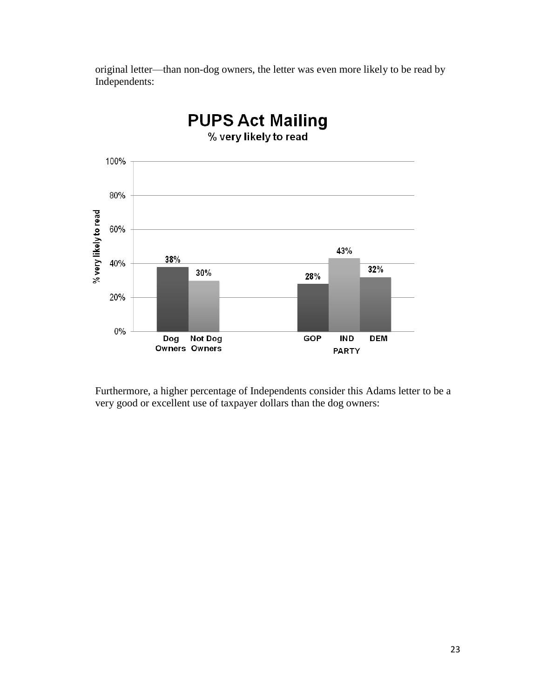original letter—than non-dog owners, the letter was even more likely to be read by Independents:



Furthermore, a higher percentage of Independents consider this Adams letter to be a very good or excellent use of taxpayer dollars than the dog owners: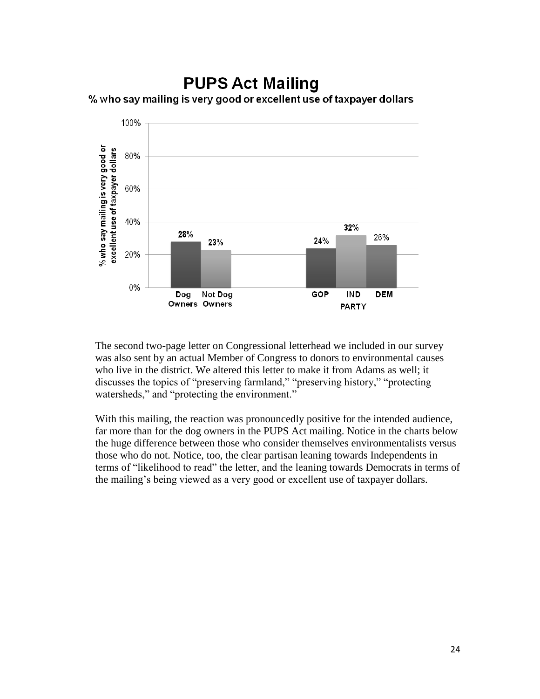# **PUPS Act Mailing** % who say mailing is very good or excellent use of taxpayer dollars



The second two-page letter on Congressional letterhead we included in our survey was also sent by an actual Member of Congress to donors to environmental causes who live in the district. We altered this letter to make it from Adams as well; it discusses the topics of "preserving farmland," "preserving history," "protecting watersheds," and "protecting the environment."

With this mailing, the reaction was pronouncedly positive for the intended audience, far more than for the dog owners in the PUPS Act mailing. Notice in the charts below the huge difference between those who consider themselves environmentalists versus those who do not. Notice, too, the clear partisan leaning towards Independents in terms of "likelihood to read" the letter, and the leaning towards Democrats in terms of the mailing's being viewed as a very good or excellent use of taxpayer dollars.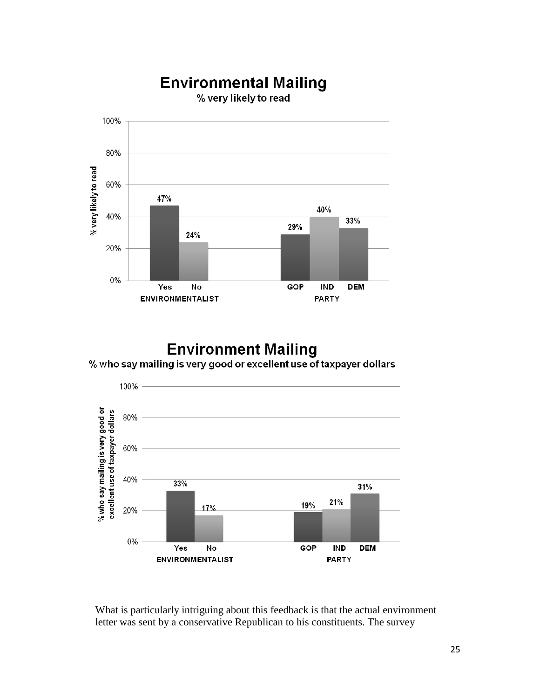

# **Environment Mailing** % who say mailing is very good or excellent use of taxpayer dollars



What is particularly intriguing about this feedback is that the actual environment letter was sent by a conservative Republican to his constituents. The survey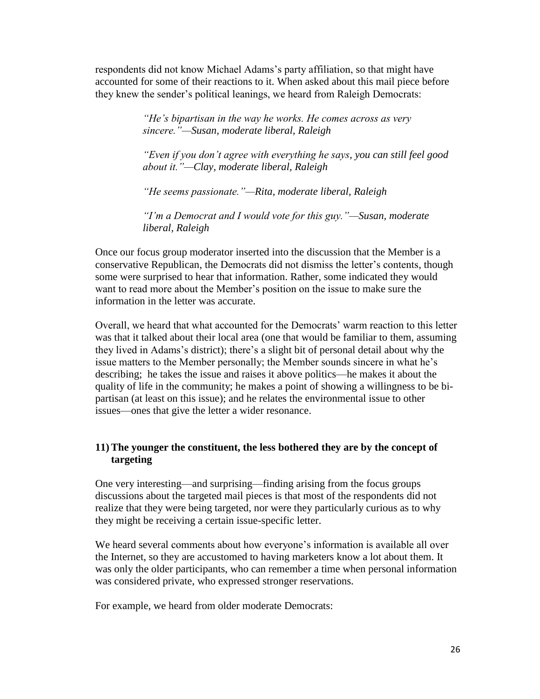respondents did not know Michael Adams"s party affiliation, so that might have accounted for some of their reactions to it. When asked about this mail piece before they knew the sender"s political leanings, we heard from Raleigh Democrats:

> *"He"s bipartisan in the way he works. He comes across as very sincere."—Susan, moderate liberal, Raleigh*

*"Even if you don"t agree with everything he says, you can still feel good about it."—Clay, moderate liberal, Raleigh*

*"He seems passionate."—Rita, moderate liberal, Raleigh*

*"I"m a Democrat and I would vote for this guy."—Susan, moderate liberal, Raleigh*

Once our focus group moderator inserted into the discussion that the Member is a conservative Republican, the Democrats did not dismiss the letter"s contents, though some were surprised to hear that information. Rather, some indicated they would want to read more about the Member"s position on the issue to make sure the information in the letter was accurate.

Overall, we heard that what accounted for the Democrats' warm reaction to this letter was that it talked about their local area (one that would be familiar to them, assuming they lived in Adams"s district); there"s a slight bit of personal detail about why the issue matters to the Member personally; the Member sounds sincere in what he"s describing; he takes the issue and raises it above politics—he makes it about the quality of life in the community; he makes a point of showing a willingness to be bipartisan (at least on this issue); and he relates the environmental issue to other issues—ones that give the letter a wider resonance.

## **11) The younger the constituent, the less bothered they are by the concept of targeting**

One very interesting—and surprising—finding arising from the focus groups discussions about the targeted mail pieces is that most of the respondents did not realize that they were being targeted, nor were they particularly curious as to why they might be receiving a certain issue-specific letter.

We heard several comments about how everyone's information is available all over the Internet, so they are accustomed to having marketers know a lot about them. It was only the older participants, who can remember a time when personal information was considered private, who expressed stronger reservations.

For example, we heard from older moderate Democrats: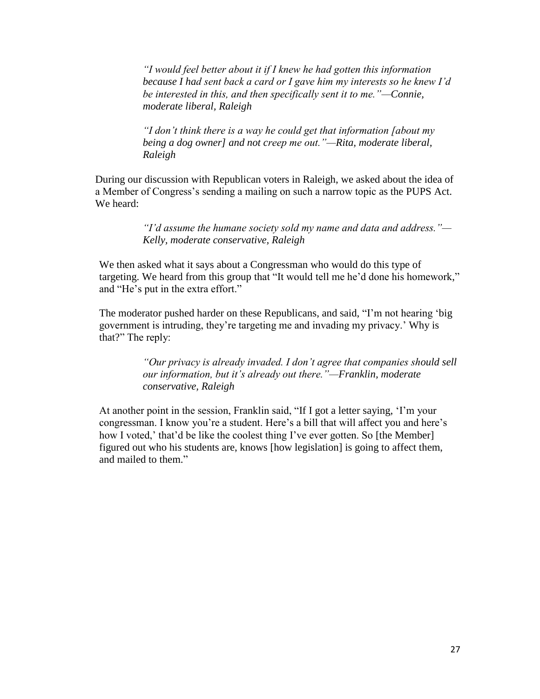*"I would feel better about it if I knew he had gotten this information because I had sent back a card or I gave him my interests so he knew I"d be interested in this, and then specifically sent it to me."—Connie, moderate liberal, Raleigh*

*"I don"t think there is a way he could get that information [about my being a dog owner] and not creep me out."—Rita, moderate liberal, Raleigh*

During our discussion with Republican voters in Raleigh, we asked about the idea of a Member of Congress"s sending a mailing on such a narrow topic as the PUPS Act. We heard:

> *"I"d assume the humane society sold my name and data and address."— Kelly, moderate conservative, Raleigh*

We then asked what it says about a Congressman who would do this type of targeting. We heard from this group that "It would tell me he"d done his homework," and "He"s put in the extra effort."

The moderator pushed harder on these Republicans, and said, "I"m not hearing "big government is intruding, they"re targeting me and invading my privacy." Why is that?" The reply:

> *"Our privacy is already invaded. I don"t agree that companies should sell our information, but it"s already out there."—Franklin, moderate conservative, Raleigh*

At another point in the session, Franklin said, "If I got a letter saying, "I"m your congressman. I know you're a student. Here's a bill that will affect you and here's how I voted,' that'd be like the coolest thing I've ever gotten. So [the Member] figured out who his students are, knows [how legislation] is going to affect them, and mailed to them."